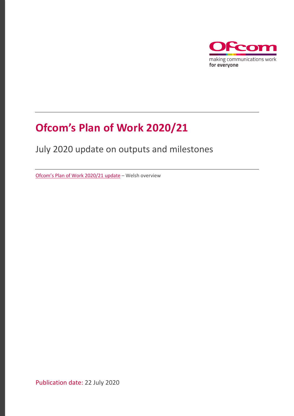

## **Ofcom's Plan of Work 2020/21**

#### July 2020 update on outputs and milestones

[Ofcom's Plan of Work 2020/21](https://www.ofcom.org.uk/__data/assets/pdf_file/0031/198661/quarterly-plan-of-work-update-welsh.pdf) update – Welsh overview

Publication date: 22 July 2020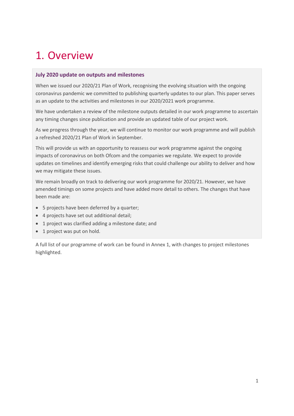### 1. Overview

#### **July 2020 update on outputs and milestones**

When we issued our 2020/21 Plan of Work, recognising the evolving situation with the ongoing coronavirus pandemic we committed to publishing quarterly updates to our plan. This paper serves as an update to the activities and milestones in our 2020/2021 work programme.

We have undertaken a review of the milestone outputs detailed in our work programme to ascertain any timing changes since publication and provide an updated table of our project work.

As we progress through the year, we will continue to monitor our work programme and will publish a refreshed 2020/21 Plan of Work in September.

This will provide us with an opportunity to reassess our work programme against the ongoing impacts of coronavirus on both Ofcom and the companies we regulate. We expect to provide updates on timelines and identify emerging risks that could challenge our ability to deliver and how we may mitigate these issues.

We remain broadly on track to delivering our work programme for 2020/21. However, we have amended timings on some projects and have added more detail to others. The changes that have been made are:

- 5 projects have been deferred by a quarter;
- 4 projects have set out additional detail;
- 1 project was clarified adding a milestone date; and
- 1 project was put on hold.

A full list of our programme of work can be found in Annex 1, with changes to project milestones highlighted.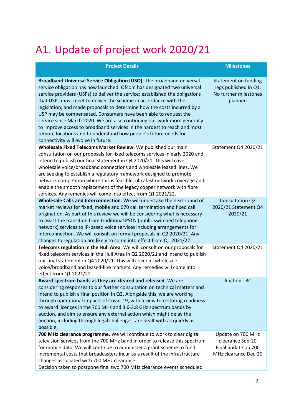# A1. Update of project work 2020/21

| <b>Project Details</b>                                                                                                                                                                                                                                                                                                                                                                                                                                                                                                                                                                                                                                                                                                 | <b>Milestones</b>                                                                    |
|------------------------------------------------------------------------------------------------------------------------------------------------------------------------------------------------------------------------------------------------------------------------------------------------------------------------------------------------------------------------------------------------------------------------------------------------------------------------------------------------------------------------------------------------------------------------------------------------------------------------------------------------------------------------------------------------------------------------|--------------------------------------------------------------------------------------|
| Broadband Universal Service Obligation (USO). The broadband universal<br>service obligation has now launched. Ofcom has designated two universal<br>service providers (USPs) to deliver the service; established the obligations<br>that USPs must meet to deliver the scheme in accordance with the<br>legislation; and made proposals to determine how the costs incurred by a<br>USP may be compensated. Consumers have been able to request the<br>service since March 2020. We are also continuing our work more generally<br>to improve access to broadband services in the hardest to reach and most<br>remote locations and to understand how people's future needs for<br>connectivity will evolve in future. | Statement on funding<br>regs published in Q1.<br>No further milestones<br>planned    |
| Wholesale Fixed Telecoms Market Review. We published our main<br>consultation on our proposals for fixed telecoms services in early 2020 and<br>intend to publish our final statement in Q4 2020/21. This will cover<br>wholesale voice/broadband connections and wholesale leased lines. We<br>are seeking to establish a regulatory framework designed to promote<br>network competition where this is feasible, ultrafast network coverage and<br>enable the smooth replacement of the legacy copper network with fibre<br>services. Any remedies will come into effect from Q1 2021/22.                                                                                                                            | Statement Q4 2020/21                                                                 |
| Wholesale Calls and Interconnection. We will undertake the next round of<br>market reviews for fixed, mobile and 070 call termination and fixed call<br>origination. As part of this review we will be considering what is necessary<br>to assist the transition from traditional PSTN (public switched telephone<br>network) services to IP-based voice services including arrangements for<br>Interconnection. We will consult on formal proposals in Q2 2020/21. Any<br>changes to regulation are likely to come into effect from Q1 2021/22.                                                                                                                                                                       | Consultation Q2<br>2020/21 Statement Q4<br>2020/21                                   |
| Telecoms regulation in the Hull Area. We will consult on our proposals for<br>fixed telecoms services in the Hull Area in Q2 2020/21 and intend to publish<br>our final statement in Q4 2020/21. This will cover all wholesale<br>voice/broadband and leased-line markets. Any remedies will come into<br>effect from Q1 2021/22.                                                                                                                                                                                                                                                                                                                                                                                      | Statement Q4 2020/21                                                                 |
| Award spectrum bands as they are cleared and released. We are<br>considering responses to our further consultation on technical matters and<br>intend to publish a final position in Q2. Alongside this, we are working<br>through operational impacts of Covid-19, with a view to restoring readiness<br>to award licences in the 700 MHz and 3.6-3.8 GHz spectrum bands by<br>auction, and aim to ensure any external action which might delay the<br>auction, including through legal challenges, are dealt with as quickly as<br>possible.                                                                                                                                                                         | <b>Auction TBC</b>                                                                   |
| 700 MHz clearance programme. We will continue to work to clear digital<br>television services from the 700 MHz band in order to release this spectrum<br>for mobile data. We will continue to administer a grant scheme to fund<br>incremental costs that broadcasters incur as a result of the infrastructure<br>changes associated with 700 MHz clearance.<br>Decision taken to postpone final two 700 MHz clearance events scheduled                                                                                                                                                                                                                                                                                | Update on 700 MHz<br>clearance Sep-20<br>Final update on 700<br>MHz clearance Dec-20 |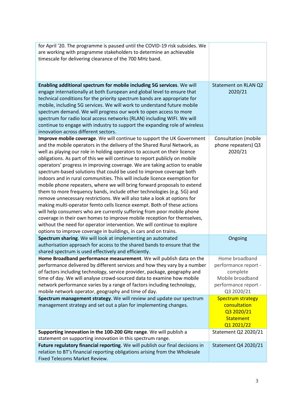| for April '20. The programme is paused until the COVID-19 risk subsides. We<br>are working with programme stakeholders to determine an achievable<br>timescale for delivering clearance of the 700 MHz band.                                                                                                                                                                                                                                                                                                                                                                                                                                                                                                                                                                                                                                                                                                                                                                                                                                                                                                                                                    |                                                                                                                  |
|-----------------------------------------------------------------------------------------------------------------------------------------------------------------------------------------------------------------------------------------------------------------------------------------------------------------------------------------------------------------------------------------------------------------------------------------------------------------------------------------------------------------------------------------------------------------------------------------------------------------------------------------------------------------------------------------------------------------------------------------------------------------------------------------------------------------------------------------------------------------------------------------------------------------------------------------------------------------------------------------------------------------------------------------------------------------------------------------------------------------------------------------------------------------|------------------------------------------------------------------------------------------------------------------|
| Enabling additional spectrum for mobile including 5G services. We will<br>engage internationally at both European and global level to ensure that<br>technical conditions for the priority spectrum bands are appropriate for<br>mobile, including 5G services. We will work to understand future mobile<br>spectrum demand. We will progress our work to open access to more<br>spectrum for radio local access networks (RLAN) including WIFI. We will<br>continue to engage with industry to support the expanding role of wireless<br>innovation across different sectors.                                                                                                                                                                                                                                                                                                                                                                                                                                                                                                                                                                                  | Statement on RLAN Q2<br>2020/21                                                                                  |
| Improve mobile coverage. We will continue to support the UK Government<br>and the mobile operators in the delivery of the Shared Rural Network, as<br>well as playing our role in holding operators to account on their licence<br>obligations. As part of this we will continue to report publicly on mobile<br>operators' progress in improving coverage. We are taking action to enable<br>spectrum-based solutions that could be used to improve coverage both<br>indoors and in rural communities. This will include licence exemption for<br>mobile phone repeaters, where we will bring forward proposals to extend<br>them to more frequency bands, include other technologies (e.g. 5G) and<br>remove unnecessary restrictions. We will also take a look at options for<br>making multi-operator femto cells licence exempt. Both of these actions<br>will help consumers who are currently suffering from poor mobile phone<br>coverage in their own homes to improve mobile reception for themselves,<br>without the need for operator intervention. We will continue to explore<br>options to improve coverage in buildings, in cars and on trains. | <b>Consultation (mobile</b><br>phone repeaters) Q3<br>2020/21                                                    |
| Spectrum sharing. We will look at implementing an automated<br>authorisation approach for access to the shared bands to ensure that the<br>shared spectrum is used effectively and efficiently.                                                                                                                                                                                                                                                                                                                                                                                                                                                                                                                                                                                                                                                                                                                                                                                                                                                                                                                                                                 | Ongoing                                                                                                          |
| Home Broadband performance measurement. We will publish data on the<br>performance delivered by different services and how they vary by a number<br>of factors including technology, service provider, package, geography and<br>time of day. We will analyse crowd-sourced data to examine how mobile<br>network performance varies by a range of factors including technology,<br>mobile network operator, geography and time of day.                                                                                                                                                                                                                                                                                                                                                                                                                                                                                                                                                                                                                                                                                                                         | Home broadband<br>performance report -<br>complete<br>Mobile broadband<br>performance report -<br>Q3 2020/21     |
| Spectrum management strategy. We will review and update our spectrum<br>management strategy and set out a plan for implementing changes.<br>Supporting innovation in the 100-200 GHz range. We will publish a                                                                                                                                                                                                                                                                                                                                                                                                                                                                                                                                                                                                                                                                                                                                                                                                                                                                                                                                                   | <b>Spectrum strategy</b><br>consultation<br>Q3 2020/21<br><b>Statement</b><br>Q1 2021/22<br>Statement Q2 2020/21 |
| statement on supporting innovation in this spectrum range.                                                                                                                                                                                                                                                                                                                                                                                                                                                                                                                                                                                                                                                                                                                                                                                                                                                                                                                                                                                                                                                                                                      |                                                                                                                  |
| Future regulatory financial reporting. We will publish our final decisions in<br>relation to BT's financial reporting obligations arising from the Wholesale<br>Fixed Telecoms Market Review.                                                                                                                                                                                                                                                                                                                                                                                                                                                                                                                                                                                                                                                                                                                                                                                                                                                                                                                                                                   | Statement Q4 2020/21                                                                                             |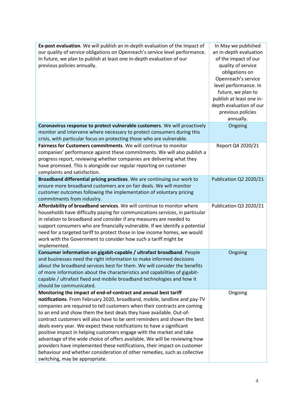| Ex-post evaluation. We will publish an in-depth evaluation of the impact of<br>our quality of service obligations on Openreach's service level performance.<br>In future, we plan to publish at least one in-depth evaluation of our<br>previous policies annually.                                                                                                                                                                                                                                                                                                                                                                                                                                                                                                                                    | In May we published<br>an in-depth evaluation<br>of the impact of our<br>quality of service<br>obligations on<br>Openreach's service<br>level performance. In<br>future, we plan to<br>publish at least one in-<br>depth evaluation of our<br>previous policies<br>annually. |
|--------------------------------------------------------------------------------------------------------------------------------------------------------------------------------------------------------------------------------------------------------------------------------------------------------------------------------------------------------------------------------------------------------------------------------------------------------------------------------------------------------------------------------------------------------------------------------------------------------------------------------------------------------------------------------------------------------------------------------------------------------------------------------------------------------|------------------------------------------------------------------------------------------------------------------------------------------------------------------------------------------------------------------------------------------------------------------------------|
| Coronavirus response to protect vulnerable customers. We will proactively<br>monitor and intervene where necessary to protect consumers during this<br>crisis, with particular focus on protecting those who are vulnerable.                                                                                                                                                                                                                                                                                                                                                                                                                                                                                                                                                                           | Ongoing                                                                                                                                                                                                                                                                      |
| Fairness for Customers commitments. We will continue to monitor<br>companies' performance against these commitments. We will also publish a<br>progress report, reviewing whether companies are delivering what they<br>have promised. This is alongside our regular reporting on customer<br>complaints and satisfaction.                                                                                                                                                                                                                                                                                                                                                                                                                                                                             | Report Q4 2020/21                                                                                                                                                                                                                                                            |
| Broadband differential pricing practices. We are continuing our work to<br>ensure more broadband customers are on fair deals. We will monitor<br>customer outcomes following the implementation of voluntary pricing<br>commitments from industry.                                                                                                                                                                                                                                                                                                                                                                                                                                                                                                                                                     | Publication Q2 2020/21                                                                                                                                                                                                                                                       |
| Affordability of broadband services. We will continue to monitor where<br>households have difficulty paying for communications services, in particular<br>in relation to broadband and consider if any measures are needed to<br>support consumers who are financially vulnerable. If we identify a potential<br>need for a targeted tariff to protect those in low income homes, we would<br>work with the Government to consider how such a tariff might be<br>implemented.                                                                                                                                                                                                                                                                                                                          | Publication Q3 2020/21                                                                                                                                                                                                                                                       |
| Consumer information on gigabit-capable / ultrafast broadband. People<br>and businesses need the right information to make informed decisions<br>about the broadband services best for them. We will consider the benefits<br>of more information about the characteristics and capabilities of gigabit-<br>capable / ultrafast fixed and mobile broadband technologies and how it<br>should be communicated.                                                                                                                                                                                                                                                                                                                                                                                          | Ongoing                                                                                                                                                                                                                                                                      |
| Monitoring the impact of end-of-contract and annual best tariff<br>notifications. From February 2020, broadband, mobile, landline and pay-TV<br>companies are required to tell customers when their contracts are coming<br>to an end and show them the best deals they have available. Out-of-<br>contract customers will also have to be sent reminders and shown the best<br>deals every year. We expect these notifications to have a significant<br>positive impact in helping customers engage with the market and take<br>advantage of the wide choice of offers available. We will be reviewing how<br>providers have implemented these notifications, their impact on customer<br>behaviour and whether consideration of other remedies, such as collective<br>switching, may be appropriate. | Ongoing                                                                                                                                                                                                                                                                      |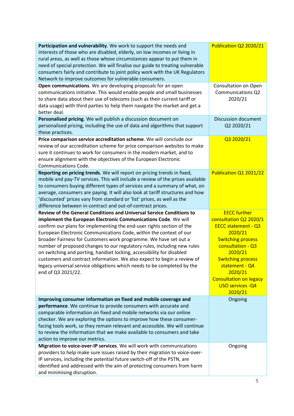| Participation and vulnerability. We work to support the needs and<br>interests of those who are disabled, elderly, on low incomes or living in<br>rural areas, as well as those whose circumstances appear to put them in<br>need of special protection. We will finalise our guide to treating vulnerable<br>consumers fairly and contribute to joint policy work with the UK Regulators<br>Network to improve outcomes for vulnerable consumers.               | Publication Q2 2020/21                                        |
|------------------------------------------------------------------------------------------------------------------------------------------------------------------------------------------------------------------------------------------------------------------------------------------------------------------------------------------------------------------------------------------------------------------------------------------------------------------|---------------------------------------------------------------|
| Open communications. We are developing proposals for an open<br>communications initiative. This would enable people and small businesses<br>to share data about their use of telecoms (such as their current tariff or<br>data usage) with third parties to help them navigate the market and get a<br>better deal.                                                                                                                                              | Consultation on Open<br><b>Communications Q2</b><br>2020/21   |
| Personalised pricing. We will publish a discussion document on<br>personalised pricing, including the use of data and algorithms that support<br>these practices.                                                                                                                                                                                                                                                                                                | <b>Discussion document</b><br>Q2 2020/21                      |
| Price comparison service accreditation scheme. We will conclude our<br>review of our accreditation scheme for price comparison websites to make<br>sure it continues to work for consumers in the modern market, and to<br>ensure alignment with the objectives of the European Electronic<br><b>Communications Code.</b>                                                                                                                                        | Q3 2020/21                                                    |
| Reporting on pricing trends. We will report on pricing trends in fixed,<br>mobile and pay-TV services. This will include a review of the prices available<br>to consumers buying different types of services and a summary of what, on<br>average, consumers are paying. It will also look at tariff structures and how<br>'discounted' prices vary from standard or 'list' prices, as well as the<br>difference between in-contract and out-of-contract prices. | Publication Q1 2021/22                                        |
|                                                                                                                                                                                                                                                                                                                                                                                                                                                                  |                                                               |
| <b>Review of the General Conditions and Universal Service Conditions to</b>                                                                                                                                                                                                                                                                                                                                                                                      | <b>EECC further</b>                                           |
| implement the European Electronic Communications Code. We will<br>confirm our plans for implementing the end-user rights section of the                                                                                                                                                                                                                                                                                                                          | consultation Q2 2020/1<br><b>EECC statement - Q3</b>          |
| European Electronic Communications Code, within the context of our                                                                                                                                                                                                                                                                                                                                                                                               | 2020/21                                                       |
| broader Fairness for Customers work programme. We have set out a                                                                                                                                                                                                                                                                                                                                                                                                 | <b>Switching process</b>                                      |
| number of proposed changes to our regulatory rules, including new rules                                                                                                                                                                                                                                                                                                                                                                                          | consultation - Q3                                             |
| on switching and porting, handset locking, accessibility for disabled                                                                                                                                                                                                                                                                                                                                                                                            | 2020/21                                                       |
| customers and contract information. We also expect to begin a review of<br>legacy universal service obligations which needs to be completed by the                                                                                                                                                                                                                                                                                                               | <b>Switching process</b><br>statement - Q4<br>2020/21         |
| end of Q3 2021/22.                                                                                                                                                                                                                                                                                                                                                                                                                                               | <b>Consultation on legacy</b><br>USO services - Q4<br>2020/21 |
| Improving consumer information on fixed and mobile coverage and                                                                                                                                                                                                                                                                                                                                                                                                  | Ongoing                                                       |
| performance. We continue to provide consumers with accurate and                                                                                                                                                                                                                                                                                                                                                                                                  |                                                               |
| comparable information on fixed and mobile networks via our online                                                                                                                                                                                                                                                                                                                                                                                               |                                                               |
| checker. We are exploring the options to improve how these consumer-                                                                                                                                                                                                                                                                                                                                                                                             |                                                               |
| facing tools work, so they remain relevant and accessible. We will continue                                                                                                                                                                                                                                                                                                                                                                                      |                                                               |
| to review the information that we make available to consumers and take                                                                                                                                                                                                                                                                                                                                                                                           |                                                               |
| action to improve our metrics.                                                                                                                                                                                                                                                                                                                                                                                                                                   |                                                               |
| Migration to voice-over-IP services. We will work with communications                                                                                                                                                                                                                                                                                                                                                                                            | Ongoing                                                       |
| providers to help make sure issues raised by their migration to voice-over-                                                                                                                                                                                                                                                                                                                                                                                      |                                                               |
| IP services, including the potential future switch-off of the PSTN, are<br>identified and addressed with the aim of protecting consumers from harm                                                                                                                                                                                                                                                                                                               |                                                               |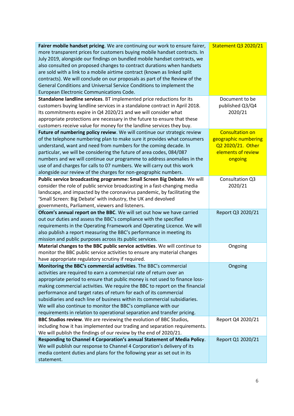| Fairer mobile handset pricing. We are continuing our work to ensure fairer, | <b>Statement Q3 2020/21</b> |
|-----------------------------------------------------------------------------|-----------------------------|
| more transparent prices for customers buying mobile handset contracts. In   |                             |
| July 2019, alongside our findings on bundled mobile handset contracts, we   |                             |
| also consulted on proposed changes to contract durations when handsets      |                             |
| are sold with a link to a mobile airtime contract (known as linked split    |                             |
| contracts). We will conclude on our proposals as part of the Review of the  |                             |
| General Conditions and Universal Service Conditions to implement the        |                             |
| European Electronic Communications Code.                                    |                             |
| Standalone landline services. BT implemented price reductions for its       | Document to be              |
| customers buying landline services in a standalone contract in April 2018.  | published Q3/Q4             |
| Its commitments expire in Q4 2020/21 and we will consider what              | 2020/21                     |
| appropriate protections are necessary in the future to ensure that these    |                             |
| customers receive value for money for the landline services they buy.       |                             |
| Future of numbering policy review. We will continue our strategic review    | <b>Consultation on</b>      |
| of the telephone numbering plan to make sure it provides what consumers     | geographic numbering        |
| understand, want and need from numbers for the coming decade. In            | Q2 2020/21. Other           |
| particular, we will be considering the future of area codes, 084/087        | elements of review          |
| numbers and we will continue our programme to address anomalies in the      | ongoing                     |
| use of and charges for calls to 07 numbers. We will carry out this work     |                             |
| alongside our review of the charges for non-geographic numbers.             |                             |
| Public service broadcasting programme: Small Screen Big Debate. We will     | Consultation Q3             |
| consider the role of public service broadcasting in a fast-changing media   | 2020/21                     |
| landscape, and impacted by the coronavirus pandemic, by facilitating the    |                             |
| 'Small Screen: Big Debate' with industry, the UK and devolved               |                             |
| governments, Parliament, viewers and listeners.                             |                             |
| Ofcom's annual report on the BBC. We will set out how we have carried       | Report Q3 2020/21           |
| out our duties and assess the BBC's compliance with the specified           |                             |
| requirements in the Operating Framework and Operating Licence. We will      |                             |
| also publish a report measuring the BBC's performance in meeting its        |                             |
| mission and public purposes across its public services.                     |                             |
| Material changes to the BBC public service activities. We will continue to  | Ongoing                     |
| monitor the BBC public service activities to ensure any material changes    |                             |
| have appropriate regulatory scrutiny if required.                           |                             |
| Monitoring the BBC's commercial activities. The BBC's commercial            | Ongoing                     |
| activities are required to earn a commercial rate of return over an         |                             |
| appropriate period to ensure that public money is not used to finance loss- |                             |
| making commercial activities. We require the BBC to report on the financial |                             |
| performance and target rates of return for each of its commercial           |                             |
| subsidiaries and each line of business within its commercial subsidiaries.  |                             |
| We will also continue to monitor the BBC's compliance with our              |                             |
| requirements in relation to operational separation and transfer pricing.    |                             |
| BBC Studios review. We are reviewing the evolution of BBC Studios,          | Report Q4 2020/21           |
| including how it has implemented our trading and separation requirements.   |                             |
| We will publish the findings of our review by the end of 2020/21.           |                             |
| Responding to Channel 4 Corporation's annual Statement of Media Policy.     | Report Q1 2020/21           |
| We will publish our response to Channel 4 Corporation's delivery of its     |                             |
| media content duties and plans for the following year as set out in its     |                             |
| statement.                                                                  |                             |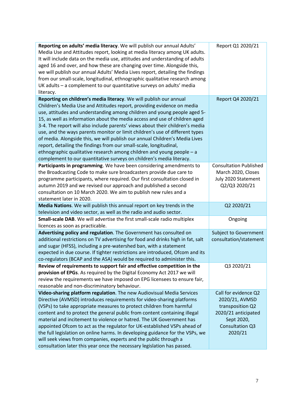| Reporting on adults' media literacy. We will publish our annual Adults'                                                                            | Report Q1 2020/21             |
|----------------------------------------------------------------------------------------------------------------------------------------------------|-------------------------------|
| Media Use and Attitudes report, looking at media literacy among UK adults.                                                                         |                               |
| It will include data on the media use, attitudes and understanding of adults                                                                       |                               |
| aged 16 and over, and how these are changing over time. Alongside this,                                                                            |                               |
| we will publish our annual Adults' Media Lives report, detailing the findings                                                                      |                               |
| from our small-scale, longitudinal, ethnographic qualitative research among                                                                        |                               |
| UK adults - a complement to our quantitative surveys on adults' media                                                                              |                               |
| literacy.                                                                                                                                          |                               |
| Reporting on children's media literacy. We will publish our annual                                                                                 | Report Q4 2020/21             |
| Children's Media Use and Attitudes report, providing evidence on media                                                                             |                               |
| use, attitudes and understanding among children and young people aged 5-                                                                           |                               |
| 15, as well as information about the media access and use of children aged                                                                         |                               |
| 3-4. The report will also include parents' views about their children's media                                                                      |                               |
| use, and the ways parents monitor or limit children's use of different types                                                                       |                               |
| of media. Alongside this, we will publish our annual Children's Media Lives                                                                        |                               |
| report, detailing the findings from our small-scale, longitudinal,                                                                                 |                               |
| ethnographic qualitative research among children and young people - a                                                                              |                               |
| complement to our quantitative surveys on children's media literacy.                                                                               |                               |
| Participants in programming. We have been considering amendments to                                                                                | <b>Consultation Published</b> |
| the Broadcasting Code to make sure broadcasters provide due care to                                                                                | March 2020, Closes            |
| programme participants, where required. Our first consultation closed in                                                                           | July 2020 Statement           |
| autumn 2019 and we revised our approach and published a second                                                                                     | Q2/Q3 2020/21                 |
| consultation on 10 March 2020. We aim to publish new rules and a                                                                                   |                               |
| statement later in 2020.                                                                                                                           |                               |
| Media Nations. We will publish this annual report on key trends in the                                                                             | Q2 2020/21                    |
| television and video sector, as well as the radio and audio sector.                                                                                |                               |
| Small-scale DAB. We will advertise the first small-scale radio multiplex                                                                           | Ongoing                       |
| licences as soon as practicable.                                                                                                                   |                               |
| Advertising policy and regulation. The Government has consulted on                                                                                 | <b>Subject to Government</b>  |
| additional restrictions on TV advertising for food and drinks high in fat, salt                                                                    | consultation/statement        |
| and sugar (HFSS), including a pre-watershed ban, with a statement                                                                                  |                               |
| expected in due course. If tighter restrictions are introduced, Ofcom and its                                                                      |                               |
| co-regulators (BCAP and the ASA) would be required to administer this.                                                                             |                               |
| Review of requirements to support fair and effective competition in the                                                                            | Q3 2020/21                    |
|                                                                                                                                                    |                               |
| provision of EPGs. As required by the Digital Economy Act 2017 we will<br>review the requirements we have imposed on EPG licensees to ensure fair, |                               |
|                                                                                                                                                    |                               |
| reasonable and non-discriminatory behaviour.                                                                                                       | Call for evidence Q2          |
| Video-sharing platform regulation. The new Audiovisual Media Services                                                                              |                               |
| Directive (AVMSD) introduces requirements for video-sharing platforms                                                                              | 2020/21, AVMSD                |
| (VSPs) to take appropriate measures to protect children from harmful                                                                               | transposition Q2              |
| content and to protect the general public from content containing illegal                                                                          | 2020/21 anticipated           |
| material and incitement to violence or hatred. The UK Government has                                                                               | Sept 2020,                    |
| appointed Ofcom to act as the regulator for UK-established VSPs ahead of                                                                           | Consultation Q3               |
| the full legislation on online harms. In developing guidance for the VSPs, we                                                                      | 2020/21                       |
| will seek views from companies, experts and the public through a                                                                                   |                               |
| consultation later this year once the necessary legislation has passed.                                                                            |                               |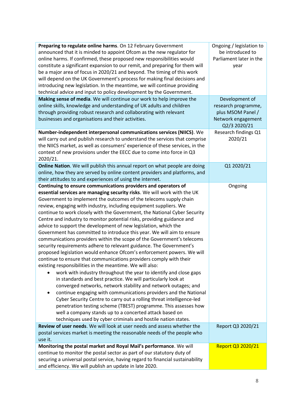| Preparing to regulate online harms. On 12 February Government<br>announced that it is minded to appoint Ofcom as the new regulator for<br>online harms. If confirmed, these proposed new responsibilities would<br>constitute a significant expansion to our remit, and preparing for them will<br>be a major area of focus in 2020/21 and beyond. The timing of this work<br>will depend on the UK Government's process for making final decisions and<br>introducing new legislation. In the meantime, we will continue providing<br>technical advice and input to policy development by the Government.                                                                                                                                                                                                                                                                                                                                                                                                                                                                                                                                                                                                                                                                                                                                                                                                                                                                                                                                                                              | Ongoing / legislation to<br>be introduced to<br>Parliament later in the<br>year                  |
|-----------------------------------------------------------------------------------------------------------------------------------------------------------------------------------------------------------------------------------------------------------------------------------------------------------------------------------------------------------------------------------------------------------------------------------------------------------------------------------------------------------------------------------------------------------------------------------------------------------------------------------------------------------------------------------------------------------------------------------------------------------------------------------------------------------------------------------------------------------------------------------------------------------------------------------------------------------------------------------------------------------------------------------------------------------------------------------------------------------------------------------------------------------------------------------------------------------------------------------------------------------------------------------------------------------------------------------------------------------------------------------------------------------------------------------------------------------------------------------------------------------------------------------------------------------------------------------------|--------------------------------------------------------------------------------------------------|
| Making sense of media. We will continue our work to help improve the<br>online skills, knowledge and understanding of UK adults and children<br>through providing robust research and collaborating with relevant<br>businesses and organisations and their activities.                                                                                                                                                                                                                                                                                                                                                                                                                                                                                                                                                                                                                                                                                                                                                                                                                                                                                                                                                                                                                                                                                                                                                                                                                                                                                                                 | Development of<br>research programme,<br>plus MSOM Panel /<br>Network engagement<br>Q2/3 2020/21 |
| Number-independent interpersonal communications services (NIICS). We<br>will carry out and publish research to understand the services that comprise<br>the NIICS market, as well as consumers' experience of these services, in the<br>context of new provisions under the EECC due to come into force in Q3<br>2020/21.                                                                                                                                                                                                                                                                                                                                                                                                                                                                                                                                                                                                                                                                                                                                                                                                                                                                                                                                                                                                                                                                                                                                                                                                                                                               | Research findings Q1<br>2020/21                                                                  |
| Online Nation. We will publish this annual report on what people are doing<br>online, how they are served by online content providers and platforms, and<br>their attitudes to and experiences of using the internet.                                                                                                                                                                                                                                                                                                                                                                                                                                                                                                                                                                                                                                                                                                                                                                                                                                                                                                                                                                                                                                                                                                                                                                                                                                                                                                                                                                   | Q1 2020/21                                                                                       |
| Continuing to ensure communications providers and operators of<br>essential services are managing security risks. We will work with the UK<br>Government to implement the outcomes of the telecoms supply chain<br>review, engaging with industry, including equipment suppliers. We<br>continue to work closely with the Government, the National Cyber Security<br>Centre and industry to monitor potential risks, providing guidance and<br>advice to support the development of new legislation, which the<br>Government has committed to introduce this year. We will aim to ensure<br>communications providers within the scope of the Government's telecoms<br>security requirements adhere to relevant guidance. The Government's<br>proposed legislation would enhance Ofcom's enforcement powers. We will<br>continue to ensure that communications providers comply with their<br>existing responsibilities in the meantime. We will also:<br>work with industry throughout the year to identify and close gaps<br>in standards and best practice. We will particularly look at<br>converged networks, network stability and network outages; and<br>continue engaging with communications providers and the National<br>٠<br>Cyber Security Centre to carry out a rolling threat intelligence-led<br>penetration testing scheme (TBEST) programme. This assesses how<br>well a company stands up to a concerted attack based on<br>techniques used by cyber criminals and hostile nation states.<br>Review of user needs. We will look at user needs and assess whether the | Ongoing<br>Report Q3 2020/21                                                                     |
| postal services market is meeting the reasonable needs of the people who<br>use it.                                                                                                                                                                                                                                                                                                                                                                                                                                                                                                                                                                                                                                                                                                                                                                                                                                                                                                                                                                                                                                                                                                                                                                                                                                                                                                                                                                                                                                                                                                     |                                                                                                  |
| Monitoring the postal market and Royal Mail's performance. We will<br>continue to monitor the postal sector as part of our statutory duty of<br>securing a universal postal service, having regard to financial sustainability<br>and efficiency. We will publish an update in late 2020.                                                                                                                                                                                                                                                                                                                                                                                                                                                                                                                                                                                                                                                                                                                                                                                                                                                                                                                                                                                                                                                                                                                                                                                                                                                                                               | Report Q3 2020/21                                                                                |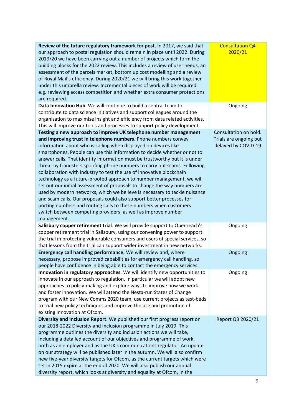| Review of the future regulatory framework for post. In 2017, we said that<br>our approach to postal regulation should remain in place until 2022. During<br>2019/20 we have been carrying out a number of projects which form the<br>building blocks for the 2022 review. This includes a review of user needs, an<br>assessment of the parcels market, bottom up cost modelling and a review<br>of Royal Mail's efficiency. During 2020/21 we will bring this work together<br>under this umbrella review. Incremental pieces of work will be required:<br>e.g. reviewing access competition and whether extra consumer protections<br>are required.                                                                                                                                                                                                                                                                                                                                  | <b>Consultation Q4</b><br>2020/21                                      |
|----------------------------------------------------------------------------------------------------------------------------------------------------------------------------------------------------------------------------------------------------------------------------------------------------------------------------------------------------------------------------------------------------------------------------------------------------------------------------------------------------------------------------------------------------------------------------------------------------------------------------------------------------------------------------------------------------------------------------------------------------------------------------------------------------------------------------------------------------------------------------------------------------------------------------------------------------------------------------------------|------------------------------------------------------------------------|
| Data Innovation Hub. We will continue to build a central team to<br>contribute to data science initiatives and support colleagues around the<br>organisation to maximise insight and efficiency from data related activities.<br>This will improve our tools and processes to support policy development.                                                                                                                                                                                                                                                                                                                                                                                                                                                                                                                                                                                                                                                                              | Ongoing                                                                |
| Testing a new approach to improve UK telephone number management<br>and improving trust in telephone numbers. Phone numbers convey<br>information about who is calling when displayed on devices like<br>smartphones. People can use this information to decide whether or not to<br>answer calls. That identity information must be trustworthy but it is under<br>threat by fraudsters spoofing phone numbers to carry out scams. Following<br>collaboration with industry to test the use of innovative blockchain<br>technology as a future-proofed approach to number management, we will<br>set out our initial assessment of proposals to change the way numbers are<br>used by modern networks, which we believe is necessary to tackle nuisance<br>and scam calls. Our proposals could also support better processes for<br>porting numbers and routing calls to these numbers when customers<br>switch between competing providers, as well as improve number<br>management. | Consultation on hold.<br>Trials are ongoing but<br>delayed by COVID-19 |
| Salisbury copper retirement trial. We will provide support to Openreach's<br>copper retirement trial in Salisbury, using our convening power to support<br>the trial in protecting vulnerable consumers and users of special services, so<br>that lessons from the trial can support wider investment in new networks.                                                                                                                                                                                                                                                                                                                                                                                                                                                                                                                                                                                                                                                                 | Ongoing                                                                |
| Emergency call handling performance. We will review and, where<br>necessary, propose improved capabilities for emergency call handling, so<br>people have confidence in being able to contact the emergency services.                                                                                                                                                                                                                                                                                                                                                                                                                                                                                                                                                                                                                                                                                                                                                                  | Ongoing                                                                |
| Innovation in regulatory approaches. We will identify new opportunities to<br>innovate in our approach to regulation. In particular we will adopt new<br>approaches to policy-making and explore ways to improve how we work<br>and foster innovation. We will attend the Nesta-run States of Change<br>program with our New Comms 2020 team, use current projects as test-beds<br>to trial new policy techniques and improve the use and promotion of<br>existing innovation at Ofcom.                                                                                                                                                                                                                                                                                                                                                                                                                                                                                                | Ongoing                                                                |
| Diversity and Inclusion Report. We published our first progress report on<br>our 2018-2022 Diversity and Inclusion programme in July 2019. This<br>programme outlines the diversity and inclusion actions we will take,<br>including a detailed account of our objectives and programme of work,<br>both as an employer and as the UK's communications regulator. An update<br>on our strategy will be published later in the autumn. We will also confirm<br>new five-year diversity targets for Ofcom, as the current targets which were<br>set in 2015 expire at the end of 2020. We will also publish our annual<br>diversity report, which looks at diversity and equality at Ofcom, in the                                                                                                                                                                                                                                                                                       | Report Q3 2020/21                                                      |